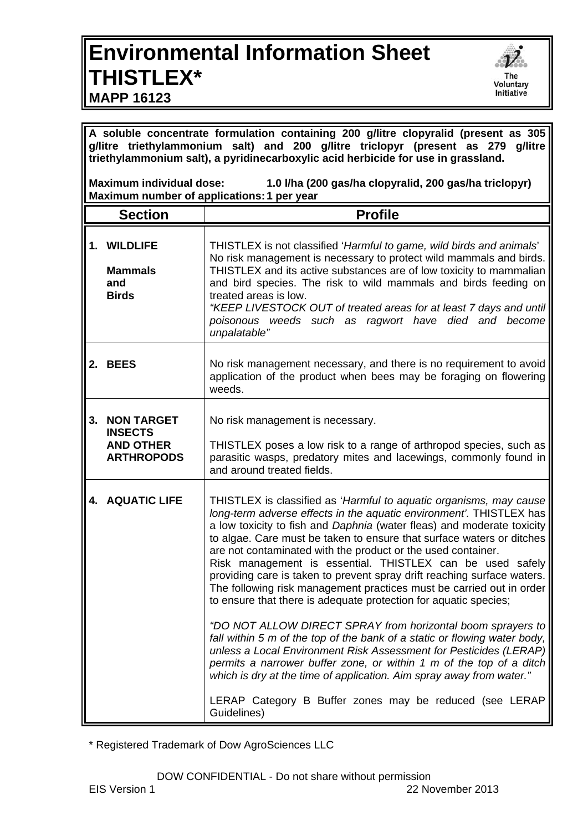## **Environmental Information Sheet THISTLEX\***



**MAPP 16123**

**A soluble concentrate formulation containing 200 g/litre clopyralid (present as 305 g/litre triethylammonium salt) and 200 g/litre triclopyr (present as 279 g/litre triethylammonium salt), a pyridinecarboxylic acid herbicide for use in grassland.** 

**Maximum individual dose: 1.0 l/ha (200 gas/ha clopyralid, 200 gas/ha triclopyr) Maximum number of applications: 1 per year** 

| <b>Section</b> |                                                                              | <b>Profile</b>                                                                                                                                                                                                                                                                                                                                                                                                                                                                                                                                                                                                                                                                                                                                                                                                                                                                                                                                                                                                                                                                             |
|----------------|------------------------------------------------------------------------------|--------------------------------------------------------------------------------------------------------------------------------------------------------------------------------------------------------------------------------------------------------------------------------------------------------------------------------------------------------------------------------------------------------------------------------------------------------------------------------------------------------------------------------------------------------------------------------------------------------------------------------------------------------------------------------------------------------------------------------------------------------------------------------------------------------------------------------------------------------------------------------------------------------------------------------------------------------------------------------------------------------------------------------------------------------------------------------------------|
|                | <b>WILDLIFE</b><br><b>Mammals</b><br>and<br><b>Birds</b>                     | THISTLEX is not classified 'Harmful to game, wild birds and animals'<br>No risk management is necessary to protect wild mammals and birds.<br>THISTLEX and its active substances are of low toxicity to mammalian<br>and bird species. The risk to wild mammals and birds feeding on<br>treated areas is low.<br>"KEEP LIVESTOCK OUT of treated areas for at least 7 days and until<br>poisonous weeds such as ragwort have died and become<br>unpalatable"                                                                                                                                                                                                                                                                                                                                                                                                                                                                                                                                                                                                                                |
|                | 2. BEES                                                                      | No risk management necessary, and there is no requirement to avoid<br>application of the product when bees may be foraging on flowering<br>weeds.                                                                                                                                                                                                                                                                                                                                                                                                                                                                                                                                                                                                                                                                                                                                                                                                                                                                                                                                          |
| 3.             | <b>NON TARGET</b><br><b>INSECTS</b><br><b>AND OTHER</b><br><b>ARTHROPODS</b> | No risk management is necessary.<br>THISTLEX poses a low risk to a range of arthropod species, such as<br>parasitic wasps, predatory mites and lacewings, commonly found in<br>and around treated fields.                                                                                                                                                                                                                                                                                                                                                                                                                                                                                                                                                                                                                                                                                                                                                                                                                                                                                  |
|                | <b>4. AQUATIC LIFE</b>                                                       | THISTLEX is classified as 'Harmful to aquatic organisms, may cause<br>long-term adverse effects in the aquatic environment'. THISTLEX has<br>a low toxicity to fish and Daphnia (water fleas) and moderate toxicity<br>to algae. Care must be taken to ensure that surface waters or ditches<br>are not contaminated with the product or the used container.<br>Risk management is essential. THISTLEX can be used safely<br>providing care is taken to prevent spray drift reaching surface waters.<br>The following risk management practices must be carried out in order<br>to ensure that there is adequate protection for aquatic species;<br>"DO NOT ALLOW DIRECT SPRAY from horizontal boom sprayers to<br>fall within 5 m of the top of the bank of a static or flowing water body,<br>unless a Local Environment Risk Assessment for Pesticides (LERAP)<br>permits a narrower buffer zone, or within 1 m of the top of a ditch<br>which is dry at the time of application. Aim spray away from water."<br>LERAP Category B Buffer zones may be reduced (see LERAP<br>Guidelines) |

\* Registered Trademark of Dow AgroSciences LLC